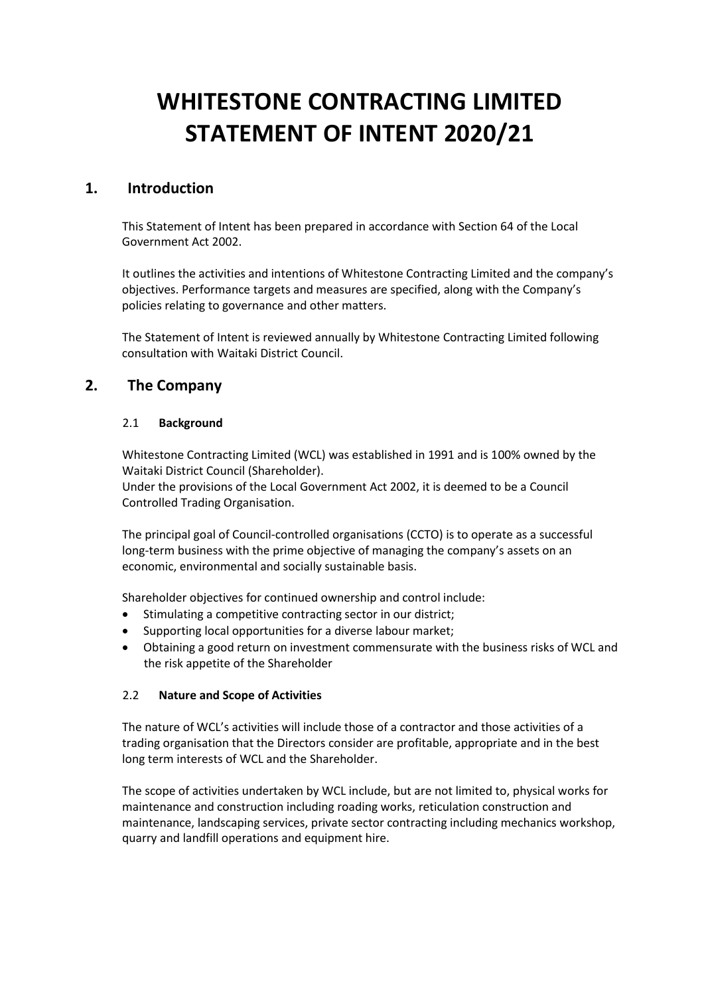# **WHITESTONE CONTRACTING LIMITED STATEMENT OF INTENT 2020/21**

# **1. Introduction**

This Statement of Intent has been prepared in accordance with Section 64 of the Local Government Act 2002.

It outlines the activities and intentions of Whitestone Contracting Limited and the company's objectives. Performance targets and measures are specified, along with the Company's policies relating to governance and other matters.

The Statement of Intent is reviewed annually by Whitestone Contracting Limited following consultation with Waitaki District Council.

# **2. The Company**

# 2.1 **Background**

Whitestone Contracting Limited (WCL) was established in 1991 and is 100% owned by the Waitaki District Council (Shareholder).

Under the provisions of the Local Government Act 2002, it is deemed to be a Council Controlled Trading Organisation.

The principal goal of Council-controlled organisations (CCTO) is to operate as a successful long-term business with the prime objective of managing the company's assets on an economic, environmental and socially sustainable basis.

Shareholder objectives for continued ownership and control include:

- Stimulating a competitive contracting sector in our district;
- Supporting local opportunities for a diverse labour market;
- Obtaining a good return on investment commensurate with the business risks of WCL and the risk appetite of the Shareholder

# 2.2 **Nature and Scope of Activities**

The nature of WCL's activities will include those of a contractor and those activities of a trading organisation that the Directors consider are profitable, appropriate and in the best long term interests of WCL and the Shareholder.

The scope of activities undertaken by WCL include, but are not limited to, physical works for maintenance and construction including roading works, reticulation construction and maintenance, landscaping services, private sector contracting including mechanics workshop, quarry and landfill operations and equipment hire.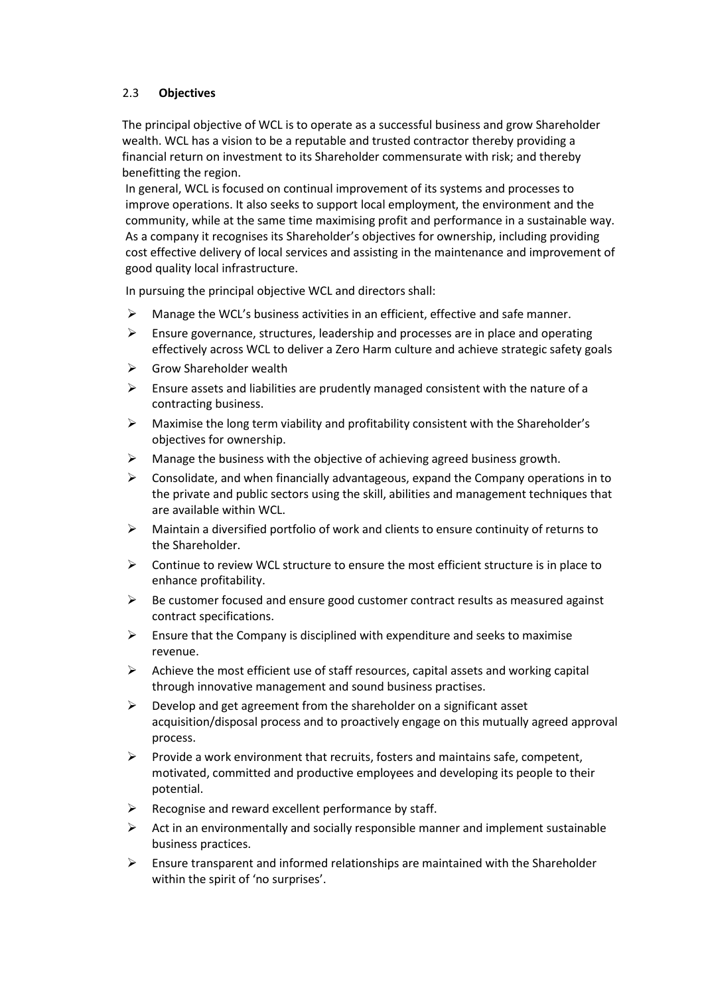# 2.3 **Objectives**

The principal objective of WCL is to operate as a successful business and grow Shareholder wealth. WCL has a vision to be a reputable and trusted contractor thereby providing a financial return on investment to its Shareholder commensurate with risk; and thereby benefitting the region.

In general, WCL is focused on continual improvement of its systems and processes to improve operations. It also seeks to support local employment, the environment and the community, while at the same time maximising profit and performance in a sustainable way. As a company it recognises its Shareholder's objectives for ownership, including providing cost effective delivery of local services and assisting in the maintenance and improvement of good quality local infrastructure.

In pursuing the principal objective WCL and directors shall:

- $\triangleright$  Manage the WCL's business activities in an efficient, effective and safe manner.
- $\triangleright$  Ensure governance, structures, leadership and processes are in place and operating effectively across WCL to deliver a Zero Harm culture and achieve strategic safety goals
- $\triangleright$  Grow Shareholder wealth
- ➢ Ensure assets and liabilities are prudently managed consistent with the nature of a contracting business.
- $\triangleright$  Maximise the long term viability and profitability consistent with the Shareholder's objectives for ownership.
- ➢ Manage the business with the objective of achieving agreed business growth.
- ➢ Consolidate, and when financially advantageous, expand the Company operations in to the private and public sectors using the skill, abilities and management techniques that are available within WCL.
- ➢ Maintain a diversified portfolio of work and clients to ensure continuity of returns to the Shareholder.
- $\triangleright$  Continue to review WCL structure to ensure the most efficient structure is in place to enhance profitability.
- $\triangleright$  Be customer focused and ensure good customer contract results as measured against contract specifications.
- $\triangleright$  Ensure that the Company is disciplined with expenditure and seeks to maximise revenue.
- $\triangleright$  Achieve the most efficient use of staff resources, capital assets and working capital through innovative management and sound business practises.
- $\triangleright$  Develop and get agreement from the shareholder on a significant asset acquisition/disposal process and to proactively engage on this mutually agreed approval process.
- $\triangleright$  Provide a work environment that recruits, fosters and maintains safe, competent, motivated, committed and productive employees and developing its people to their potential.
- $\triangleright$  Recognise and reward excellent performance by staff.
- $\triangleright$  Act in an environmentally and socially responsible manner and implement sustainable business practices.
- $\triangleright$  Ensure transparent and informed relationships are maintained with the Shareholder within the spirit of 'no surprises'.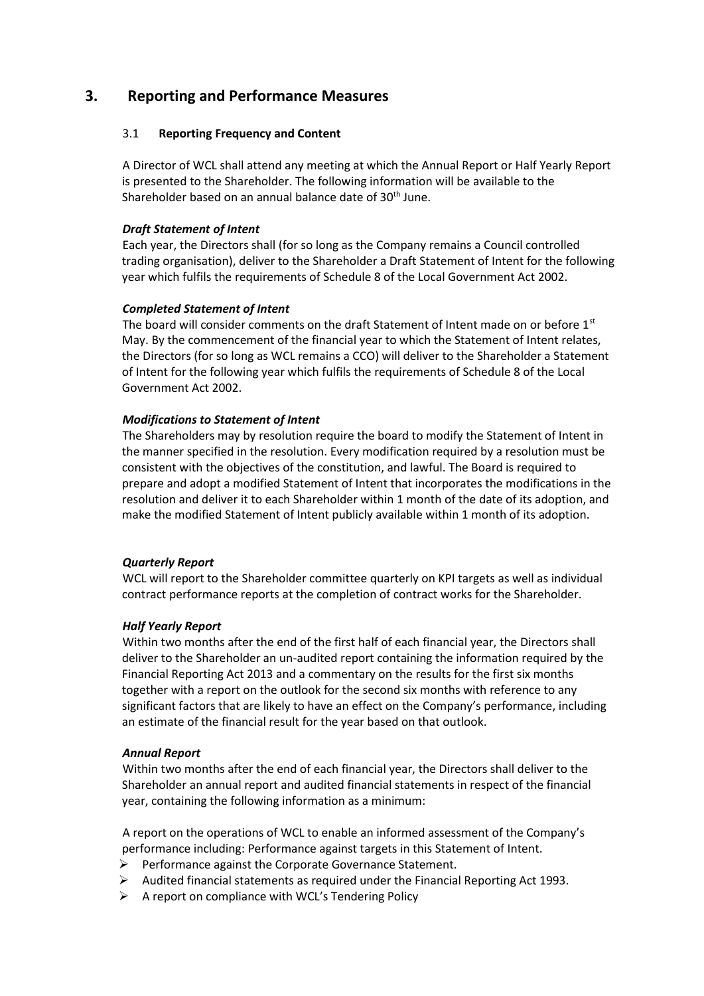# **3. Reporting and Performance Measures**

#### 3.1 **Reporting Frequency and Content**

A Director of WCL shall attend any meeting at which the Annual Report or Half Yearly Report is presented to the Shareholder. The following information will be available to the Shareholder based on an annual balance date of 30<sup>th</sup> June.

#### *Draft Statement of Intent*

Each year, the Directors shall (for so long as the Company remains a Council controlled trading organisation), deliver to the Shareholder a Draft Statement of Intent for the following year which fulfils the requirements of Schedule 8 of the Local Government Act 2002.

# *Completed Statement of Intent*

The board will consider comments on the draft Statement of Intent made on or before  $1<sup>st</sup>$ May. By the commencement of the financial year to which the Statement of Intent relates, the Directors (for so long as WCL remains a CCO) will deliver to the Shareholder a Statement of Intent for the following year which fulfils the requirements of Schedule 8 of the Local Government Act 2002.

# *Modifications to Statement of Intent*

The Shareholders may by resolution require the board to modify the Statement of Intent in the manner specified in the resolution. Every modification required by a resolution must be consistent with the objectives of the constitution, and lawful. The Board is required to prepare and adopt a modified Statement of Intent that incorporates the modifications in the resolution and deliver it to each Shareholder within 1 month of the date of its adoption, and make the modified Statement of Intent publicly available within 1 month of its adoption.

#### *Quarterly Report*

WCL will report to the Shareholder committee quarterly on KPI targets as well as individual contract performance reports at the completion of contract works for the Shareholder.

#### *Half Yearly Report*

Within two months after the end of the first half of each financial year, the Directors shall deliver to the Shareholder an un-audited report containing the information required by the Financial Reporting Act 2013 and a commentary on the results for the first six months together with a report on the outlook for the second six months with reference to any significant factors that are likely to have an effect on the Company's performance, including an estimate of the financial result for the year based on that outlook.

#### *Annual Report*

Within two months after the end of each financial year, the Directors shall deliver to the Shareholder an annual report and audited financial statements in respect of the financial year, containing the following information as a minimum:

A report on the operations of WCL to enable an informed assessment of the Company's performance including: Performance against targets in this Statement of Intent.

- ➢ Performance against the Corporate Governance Statement.
- $\triangleright$  Audited financial statements as required under the Financial Reporting Act 1993.
- $\triangleright$  A report on compliance with WCL's Tendering Policy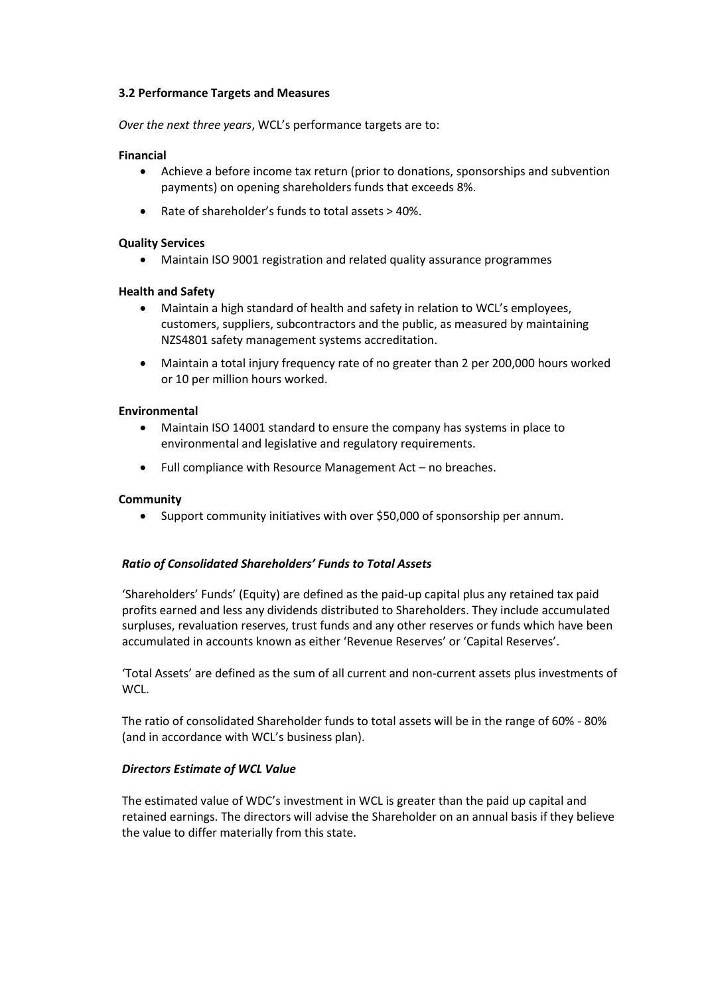#### **3.2 Performance Targets and Measures**

*Over the next three years*, WCL's performance targets are to:

#### **Financial**

- Achieve a before income tax return (prior to donations, sponsorships and subvention payments) on opening shareholders funds that exceeds 8%.
- Rate of shareholder's funds to total assets > 40%.

#### **Quality Services**

• Maintain ISO 9001 registration and related quality assurance programmes

#### **Health and Safety**

- Maintain a high standard of health and safety in relation to WCL's employees, customers, suppliers, subcontractors and the public, as measured by maintaining NZS4801 safety management systems accreditation.
- Maintain a total injury frequency rate of no greater than 2 per 200,000 hours worked or 10 per million hours worked.

#### **Environmental**

- Maintain ISO 14001 standard to ensure the company has systems in place to environmental and legislative and regulatory requirements.
- Full compliance with Resource Management Act no breaches.

#### **Community**

• Support community initiatives with over \$50,000 of sponsorship per annum.

#### *Ratio of Consolidated Shareholders' Funds to Total Assets*

'Shareholders' Funds' (Equity) are defined as the paid-up capital plus any retained tax paid profits earned and less any dividends distributed to Shareholders. They include accumulated surpluses, revaluation reserves, trust funds and any other reserves or funds which have been accumulated in accounts known as either 'Revenue Reserves' or 'Capital Reserves'.

'Total Assets' are defined as the sum of all current and non-current assets plus investments of WCL.

The ratio of consolidated Shareholder funds to total assets will be in the range of 60% - 80% (and in accordance with WCL's business plan).

#### *Directors Estimate of WCL Value*

The estimated value of WDC's investment in WCL is greater than the paid up capital and retained earnings. The directors will advise the Shareholder on an annual basis if they believe the value to differ materially from this state.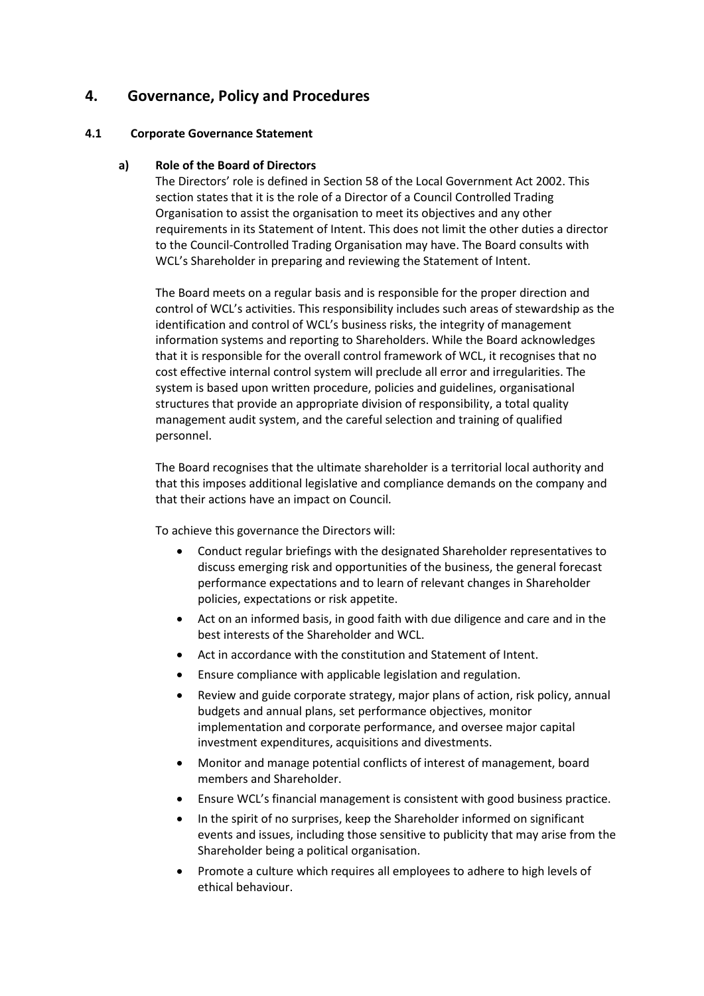# **4. Governance, Policy and Procedures**

# **4.1 Corporate Governance Statement**

# **a) Role of the Board of Directors**

The Directors' role is defined in Section 58 of the Local Government Act 2002. This section states that it is the role of a Director of a Council Controlled Trading Organisation to assist the organisation to meet its objectives and any other requirements in its Statement of Intent. This does not limit the other duties a director to the Council-Controlled Trading Organisation may have. The Board consults with WCL's Shareholder in preparing and reviewing the Statement of Intent.

The Board meets on a regular basis and is responsible for the proper direction and control of WCL's activities. This responsibility includes such areas of stewardship as the identification and control of WCL's business risks, the integrity of management information systems and reporting to Shareholders. While the Board acknowledges that it is responsible for the overall control framework of WCL, it recognises that no cost effective internal control system will preclude all error and irregularities. The system is based upon written procedure, policies and guidelines, organisational structures that provide an appropriate division of responsibility, a total quality management audit system, and the careful selection and training of qualified personnel.

The Board recognises that the ultimate shareholder is a territorial local authority and that this imposes additional legislative and compliance demands on the company and that their actions have an impact on Council*.*

To achieve this governance the Directors will:

- Conduct regular briefings with the designated Shareholder representatives to discuss emerging risk and opportunities of the business, the general forecast performance expectations and to learn of relevant changes in Shareholder policies, expectations or risk appetite.
- Act on an informed basis, in good faith with due diligence and care and in the best interests of the Shareholder and WCL.
- Act in accordance with the constitution and Statement of Intent.
- Ensure compliance with applicable legislation and regulation.
- Review and guide corporate strategy, major plans of action, risk policy, annual budgets and annual plans, set performance objectives, monitor implementation and corporate performance, and oversee major capital investment expenditures, acquisitions and divestments.
- Monitor and manage potential conflicts of interest of management, board members and Shareholder.
- Ensure WCL's financial management is consistent with good business practice.
- In the spirit of no surprises, keep the Shareholder informed on significant events and issues, including those sensitive to publicity that may arise from the Shareholder being a political organisation.
- Promote a culture which requires all employees to adhere to high levels of ethical behaviour.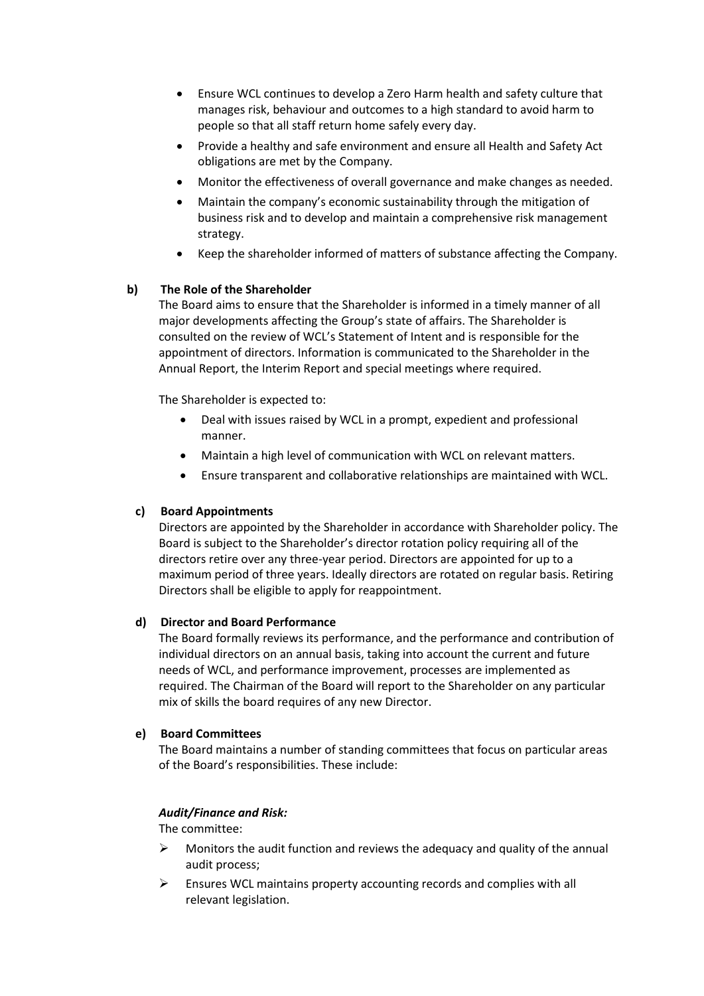- Ensure WCL continues to develop a Zero Harm health and safety culture that manages risk, behaviour and outcomes to a high standard to avoid harm to people so that all staff return home safely every day.
- Provide a healthy and safe environment and ensure all Health and Safety Act obligations are met by the Company.
- Monitor the effectiveness of overall governance and make changes as needed.
- Maintain the company's economic sustainability through the mitigation of business risk and to develop and maintain a comprehensive risk management strategy.
- Keep the shareholder informed of matters of substance affecting the Company.

# **b) The Role of the Shareholder**

The Board aims to ensure that the Shareholder is informed in a timely manner of all major developments affecting the Group's state of affairs. The Shareholder is consulted on the review of WCL's Statement of Intent and is responsible for the appointment of directors. Information is communicated to the Shareholder in the Annual Report, the Interim Report and special meetings where required.

The Shareholder is expected to:

- Deal with issues raised by WCL in a prompt, expedient and professional manner.
- Maintain a high level of communication with WCL on relevant matters.
- Ensure transparent and collaborative relationships are maintained with WCL.

# **c) Board Appointments**

Directors are appointed by the Shareholder in accordance with Shareholder policy. The Board is subject to the Shareholder's director rotation policy requiring all of the directors retire over any three-year period. Directors are appointed for up to a maximum period of three years. Ideally directors are rotated on regular basis. Retiring Directors shall be eligible to apply for reappointment.

# **d) Director and Board Performance**

The Board formally reviews its performance, and the performance and contribution of individual directors on an annual basis, taking into account the current and future needs of WCL, and performance improvement, processes are implemented as required. The Chairman of the Board will report to the Shareholder on any particular mix of skills the board requires of any new Director.

# **e) Board Committees**

The Board maintains a number of standing committees that focus on particular areas of the Board's responsibilities. These include:

# *Audit/Finance and Risk:*

The committee:

- $\triangleright$  Monitors the audit function and reviews the adequacy and quality of the annual audit process;
- $\triangleright$  Ensures WCL maintains property accounting records and complies with all relevant legislation.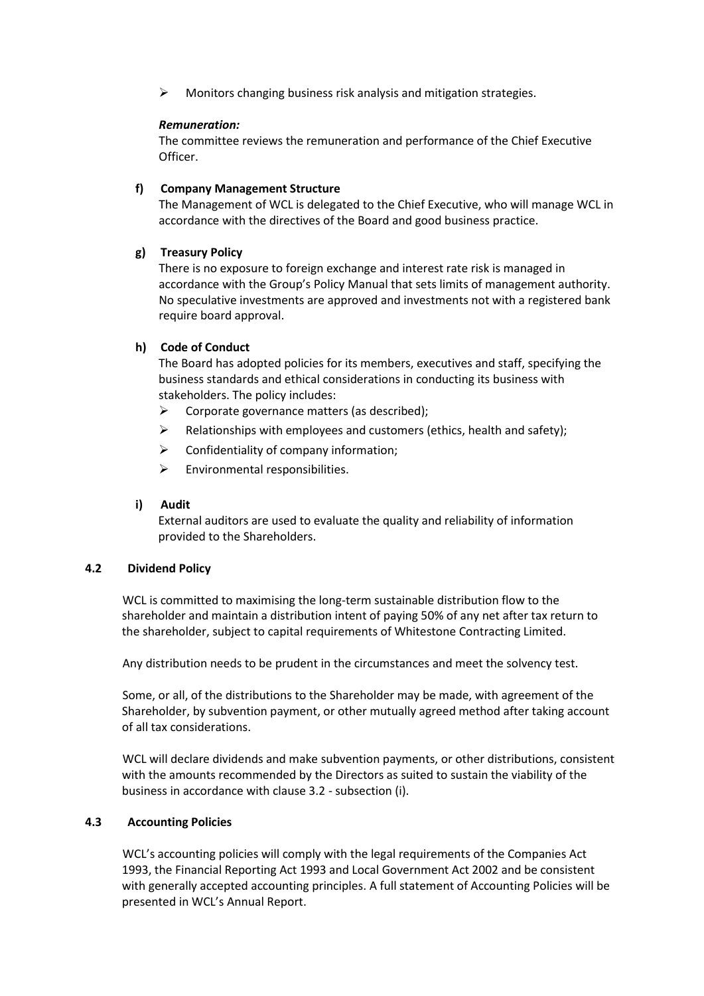➢ Monitors changing business risk analysis and mitigation strategies.

# *Remuneration:*

The committee reviews the remuneration and performance of the Chief Executive Officer.

#### **f) Company Management Structure**

The Management of WCL is delegated to the Chief Executive, who will manage WCL in accordance with the directives of the Board and good business practice.

# **g) Treasury Policy**

There is no exposure to foreign exchange and interest rate risk is managed in accordance with the Group's Policy Manual that sets limits of management authority. No speculative investments are approved and investments not with a registered bank require board approval.

# **h) Code of Conduct**

The Board has adopted policies for its members, executives and staff, specifying the business standards and ethical considerations in conducting its business with stakeholders. The policy includes:

- $\triangleright$  Corporate governance matters (as described):
- $\triangleright$  Relationships with employees and customers (ethics, health and safety);
- $\triangleright$  Confidentiality of company information;
- $\triangleright$  Environmental responsibilities.

#### **i) Audit**

External auditors are used to evaluate the quality and reliability of information provided to the Shareholders.

#### **4.2 Dividend Policy**

WCL is committed to maximising the long-term sustainable distribution flow to the shareholder and maintain a distribution intent of paying 50% of any net after tax return to the shareholder, subject to capital requirements of Whitestone Contracting Limited.

Any distribution needs to be prudent in the circumstances and meet the solvency test.

Some, or all, of the distributions to the Shareholder may be made, with agreement of the Shareholder, by subvention payment, or other mutually agreed method after taking account of all tax considerations.

WCL will declare dividends and make subvention payments, or other distributions, consistent with the amounts recommended by the Directors as suited to sustain the viability of the business in accordance with clause 3.2 - subsection (i).

# **4.3 Accounting Policies**

WCL's accounting policies will comply with the legal requirements of the Companies Act 1993, the Financial Reporting Act 1993 and Local Government Act 2002 and be consistent with generally accepted accounting principles. A full statement of Accounting Policies will be presented in WCL's Annual Report.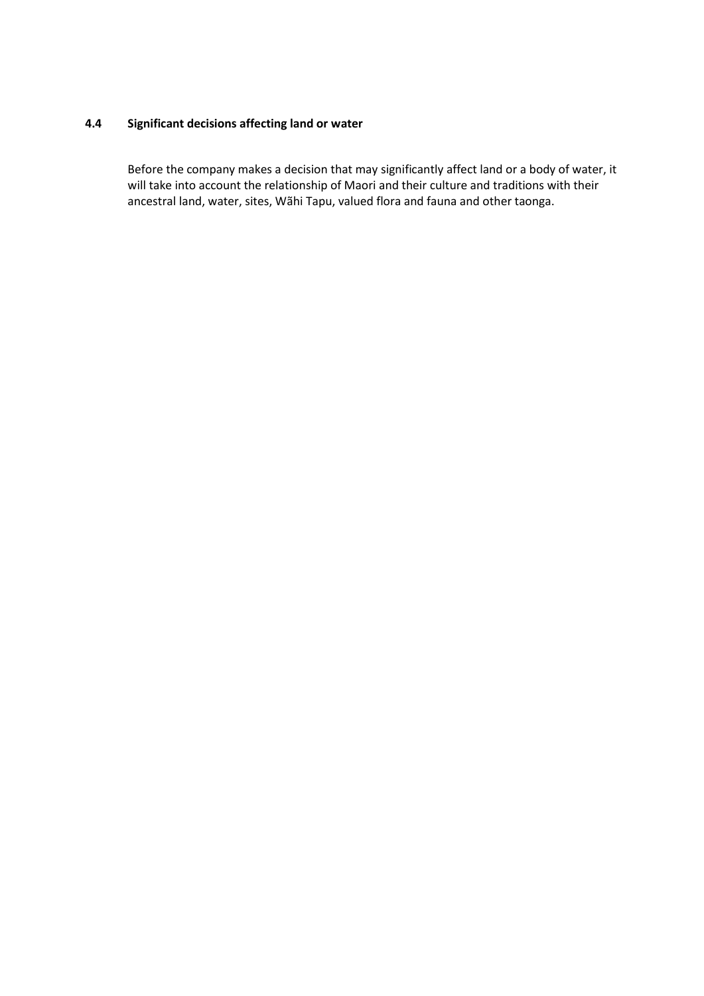# **4.4 Significant decisions affecting land or water**

Before the company makes a decision that may significantly affect land or a body of water, it will take into account the relationship of Maori and their culture and traditions with their ancestral land, water, sites, Wãhi Tapu, valued flora and fauna and other taonga.